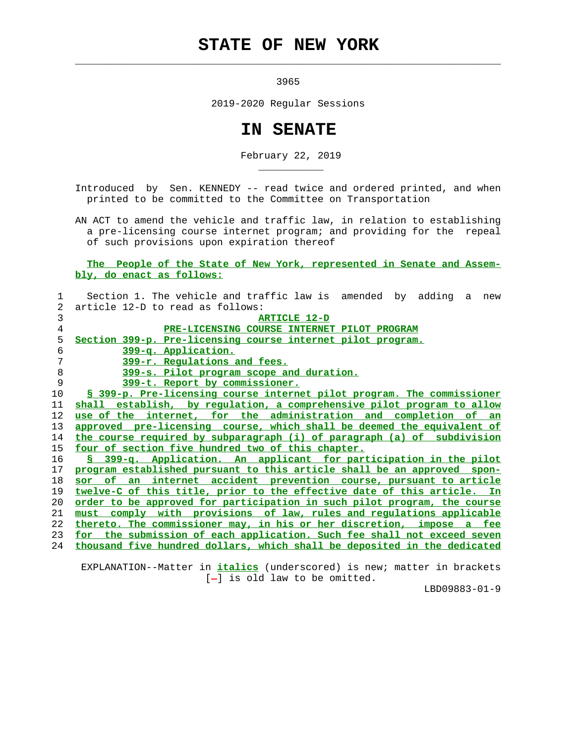## **STATE OF NEW YORK**

 $\mathcal{L}_\text{max} = \frac{1}{2} \sum_{i=1}^{n} \frac{1}{2} \sum_{i=1}^{n} \frac{1}{2} \sum_{i=1}^{n} \frac{1}{2} \sum_{i=1}^{n} \frac{1}{2} \sum_{i=1}^{n} \frac{1}{2} \sum_{i=1}^{n} \frac{1}{2} \sum_{i=1}^{n} \frac{1}{2} \sum_{i=1}^{n} \frac{1}{2} \sum_{i=1}^{n} \frac{1}{2} \sum_{i=1}^{n} \frac{1}{2} \sum_{i=1}^{n} \frac{1}{2} \sum_{i=1}^{n} \frac{1$ 

\_\_\_\_\_\_\_\_\_\_\_

<u>3965</u>

2019-2020 Regular Sessions

## **IN SENATE**

February 22, 2019

 Introduced by Sen. KENNEDY -- read twice and ordered printed, and when printed to be committed to the Committee on Transportation

 AN ACT to amend the vehicle and traffic law, in relation to establishing a pre-licensing course internet program; and providing for the repeal of such provisions upon expiration thereof

 **The People of the State of New York, represented in Senate and Assem bly, do enact as follows:**

| 1. | Section 1. The vehicle and traffic law is amended by adding a<br>new            |
|----|---------------------------------------------------------------------------------|
| 2  | article 12-D to read as follows:                                                |
| 3  | <b>ARTICLE 12-D</b>                                                             |
| 4  | PRE-LICENSING COURSE INTERNET PILOT PROGRAM                                     |
| 5  | Section 399-p. Pre-licensing course internet pilot program.                     |
| 6  | 399-q. Application.                                                             |
| 7  | 399-r. Regulations and fees.                                                    |
| 8  | 399-s. Pilot program scope and duration.                                        |
| 9  | 399-t. Report by commissioner.                                                  |
| 10 | <u>§ 399-p. Pre-licensing course internet pilot program. The commissioner</u>   |
| 11 | shall establish, by regulation, a comprehensive pilot program to allow          |
| 12 | use of the internet, for the administration and completion of an                |
| 13 | approved pre-licensing course, which shall be deemed the equivalent of          |
| 14 | the course required by subparagraph (i) of paragraph (a) of subdivision         |
| 15 | four of section five hundred two of this chapter.                               |
| 16 | § 399-q. Application. An applicant for participation in the pilot               |
| 17 | program established pursuant to this article shall be an approved spon-         |
| 18 | sor of an internet accident prevention course, pursuant to article              |
| 19 | twelve-C of this title, prior to the effective date of this article. In         |
| 20 | <u>order to be approved for participation in such pilot program, the course</u> |
| 21 | must comply with provisions of law, rules and requlations applicable            |
| 22 | thereto. The commissioner may, in his or her discretion, impose a fee           |
| 23 | for the submission of each application. Such fee shall not exceed seven         |
| 24 | thousand five hundred dollars, which shall be deposited in the dedicated        |
|    |                                                                                 |

 EXPLANATION--Matter in **italics** (underscored) is new; matter in brackets [-] is old law to be omitted.

LBD09883-01-9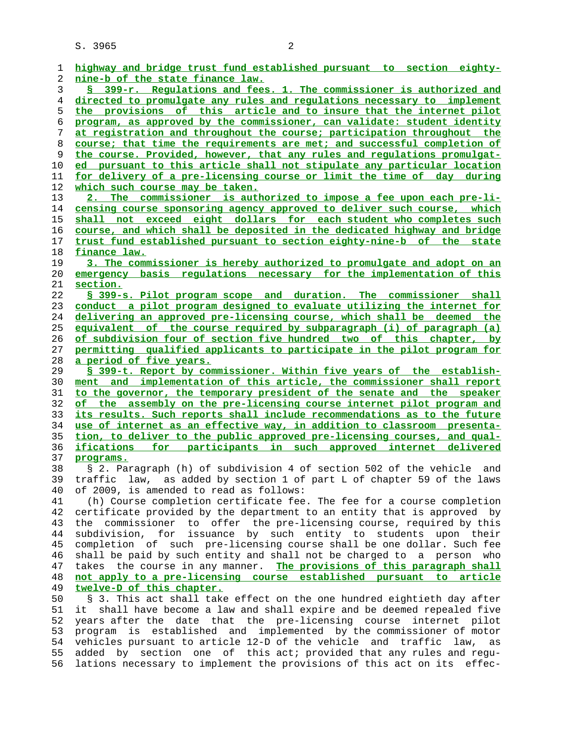S. 3965 2

| 1        | highway and bridge trust fund established pursuant to section eighty-                                                                          |
|----------|------------------------------------------------------------------------------------------------------------------------------------------------|
| 2        | <u>nine-b of the state finance law.</u>                                                                                                        |
| 3        | § 399-r. Regulations and fees. 1. The commissioner is authorized and                                                                           |
| 4        | directed to promulgate any rules and regulations necessary to implement                                                                        |
| 5        | the provisions of this article and to insure that the internet pilot                                                                           |
| 6        | program, as approved by the commissioner, can validate: student identity                                                                       |
| 7        | at registration and throughout the course; participation throughout the                                                                        |
| 8        | course; that time the requirements are met; and successful completion of                                                                       |
| 9        | the course. Provided, however, that any rules and regulations promulgat-                                                                       |
| 10       | ed pursuant to this article shall not stipulate any particular location                                                                        |
| 11       | <u>for delivery of a pre-licensing course or limit the time of day during</u>                                                                  |
| 12       | which such course may be taken.                                                                                                                |
| 13       | 2. The commissioner is authorized to impose a fee upon each pre-li-                                                                            |
| 14       | <u>censing course sponsoring agency approved to deliver such course, which </u>                                                                |
| 15       | shall not exceed eight dollars for each student who completes such                                                                             |
| 16       | course, and which shall be deposited in the dedicated highway and bridge                                                                       |
| 17       | trust fund established pursuant to section eighty-nine-b of the state                                                                          |
| 18       | finance law.                                                                                                                                   |
| 19       | 3. The commissioner is hereby authorized to promulgate and adopt on an                                                                         |
| 20       | emergency basis regulations necessary for the implementation of this                                                                           |
| 21       | section.                                                                                                                                       |
| 22       | § 399-s. Pilot program scope and duration. The commissioner shall                                                                              |
| 23       | conduct a pilot program designed to evaluate utilizing the internet for                                                                        |
| 24       | <u>delivering an approved pre-licensing course, which shall be deemed the</u>                                                                  |
| 25       | equivalent of the course required by subparagraph (i) of paragraph (a)                                                                         |
| 26       | of subdivision four of section five hundred two of this chapter, by                                                                            |
| 27       | permitting qualified applicants to participate in the pilot program for                                                                        |
| 28       | a period of five years.                                                                                                                        |
| 29       | § 399-t. Report by commissioner. Within five years of the establish-                                                                           |
| 30       | ment and implementation of this article, the commissioner shall report                                                                         |
| 31       | to the governor, the temporary president of the senate and the speaker                                                                         |
| 32       | of the assembly on the pre-licensing course internet pilot program and                                                                         |
| 33       | its results. Such reports shall include recommendations as to the future                                                                       |
| 34       | use of internet as an effective way, in addition to classroom presenta-                                                                        |
| 35       | tion, to deliver to the public approved pre-licensing courses, and qual-                                                                       |
| 36       | <u>ifications for participants in such approved internet delivered</u>                                                                         |
| 37       |                                                                                                                                                |
|          | programs.                                                                                                                                      |
| 38       | § 2. Paragraph (h) of subdivision 4 of section 502 of the vehicle<br>and                                                                       |
| 39       | traffic law, as added by section 1 of part L of chapter 59 of the laws                                                                         |
| 40       | of 2009, is amended to read as follows:                                                                                                        |
| 41       | (h) Course completion certificate fee. The fee for a course completion                                                                         |
| 42       | certificate provided by the department to an entity that is approved by                                                                        |
| 43       | the commissioner to offer the pre-licensing course, required by this                                                                           |
| 44       | subdivision, for issuance by such entity to students upon their                                                                                |
| 45       | completion of such pre-licensing course shall be one dollar. Such fee                                                                          |
| 46       | shall be paid by such entity and shall not be charged to a person who                                                                          |
| 47       | takes the course in any manner. The provisions of this paragraph shall                                                                         |
| 48       | not apply to a pre-licensing course established pursuant to article                                                                            |
| 49       | twelve-D of this chapter.                                                                                                                      |
| 50       | § 3. This act shall take effect on the one hundred eightieth day after                                                                         |
| 51       | shall have become a law and shall expire and be deemed repealed five<br>it                                                                     |
| 52       | years after the date that the pre-licensing course internet pilot                                                                              |
| 53       | is established and implemented by the commissioner of motor<br>program                                                                         |
| 54       | vehicles pursuant to article 12-D of the vehicle and traffic<br>law,<br>as                                                                     |
| 55<br>56 | added by section one of this act; provided that any rules and regu-<br>lations necessary to implement the provisions of this act on its effec- |